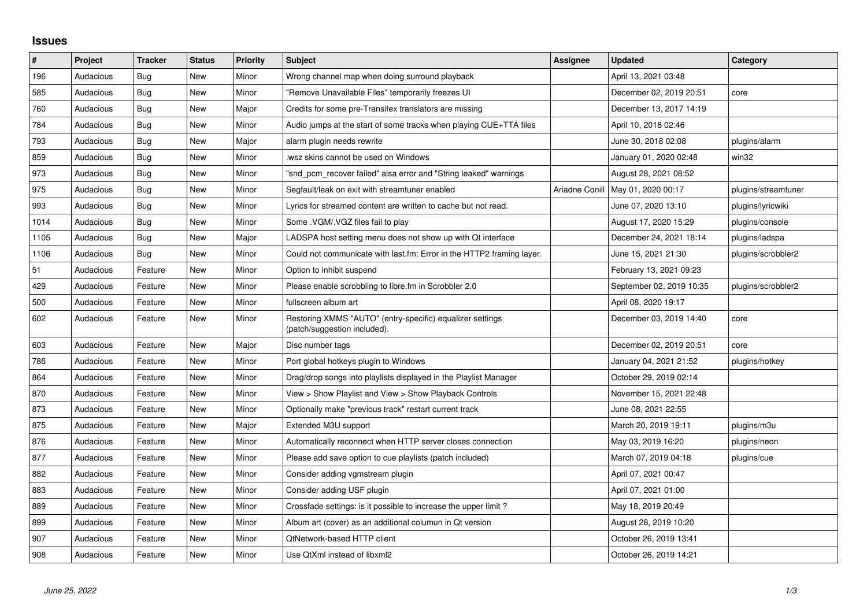## **Issues**

| $\vert$ # | Project   | <b>Tracker</b> | <b>Status</b> | <b>Priority</b> | <b>Subject</b>                                                                            | <b>Assignee</b> | <b>Updated</b>           | Category            |
|-----------|-----------|----------------|---------------|-----------------|-------------------------------------------------------------------------------------------|-----------------|--------------------------|---------------------|
| 196       | Audacious | Bug            | <b>New</b>    | Minor           | Wrong channel map when doing surround playback                                            |                 | April 13, 2021 03:48     |                     |
| 585       | Audacious | <b>Bug</b>     | <b>New</b>    | Minor           | "Remove Unavailable Files" temporarily freezes UI                                         |                 | December 02, 2019 20:51  | core                |
| 760       | Audacious | <b>Bug</b>     | New           | Major           | Credits for some pre-Transifex translators are missing                                    |                 | December 13, 2017 14:19  |                     |
| 784       | Audacious | <b>Bug</b>     | <b>New</b>    | Minor           | Audio jumps at the start of some tracks when playing CUE+TTA files                        |                 | April 10, 2018 02:46     |                     |
| 793       | Audacious | <b>Bug</b>     | <b>New</b>    | Major           | alarm plugin needs rewrite                                                                |                 | June 30, 2018 02:08      | plugins/alarm       |
| 859       | Audacious | <b>Bug</b>     | New           | Minor           | wsz skins cannot be used on Windows                                                       |                 | January 01, 2020 02:48   | win32               |
| 973       | Audacious | <b>Bug</b>     | <b>New</b>    | Minor           | "snd_pcm_recover failed" alsa error and "String leaked" warnings                          |                 | August 28, 2021 08:52    |                     |
| 975       | Audacious | Bug            | New           | Minor           | Segfault/leak on exit with streamtuner enabled                                            | Ariadne Conill  | May 01, 2020 00:17       | plugins/streamtuner |
| 993       | Audacious | Bug            | <b>New</b>    | Minor           | Lyrics for streamed content are written to cache but not read.                            |                 | June 07, 2020 13:10      | plugins/lyricwiki   |
| 1014      | Audacious | Bug            | <b>New</b>    | Minor           | Some . VGM/. VGZ files fail to play                                                       |                 | August 17, 2020 15:29    | plugins/console     |
| 1105      | Audacious | <b>Bug</b>     | New           | Major           | LADSPA host setting menu does not show up with Qt interface                               |                 | December 24, 2021 18:14  | plugins/ladspa      |
| 1106      | Audacious | Bug            | <b>New</b>    | Minor           | Could not communicate with last.fm: Error in the HTTP2 framing layer.                     |                 | June 15, 2021 21:30      | plugins/scrobbler2  |
| 51        | Audacious | Feature        | <b>New</b>    | Minor           | Option to inhibit suspend                                                                 |                 | February 13, 2021 09:23  |                     |
| 429       | Audacious | Feature        | <b>New</b>    | Minor           | Please enable scrobbling to libre.fm in Scrobbler 2.0                                     |                 | September 02, 2019 10:35 | plugins/scrobbler2  |
| 500       | Audacious | Feature        | <b>New</b>    | Minor           | fullscreen album art                                                                      |                 | April 08, 2020 19:17     |                     |
| 602       | Audacious | Feature        | New           | Minor           | Restoring XMMS "AUTO" (entry-specific) equalizer settings<br>(patch/suggestion included). |                 | December 03, 2019 14:40  | core                |
| 603       | Audacious | Feature        | <b>New</b>    | Major           | Disc number tags                                                                          |                 | December 02, 2019 20:51  | core                |
| 786       | Audacious | Feature        | <b>New</b>    | Minor           | Port global hotkeys plugin to Windows                                                     |                 | January 04, 2021 21:52   | plugins/hotkey      |
| 864       | Audacious | Feature        | <b>New</b>    | Minor           | Drag/drop songs into playlists displayed in the Playlist Manager                          |                 | October 29, 2019 02:14   |                     |
| 870       | Audacious | Feature        | New           | Minor           | View > Show Playlist and View > Show Playback Controls                                    |                 | November 15, 2021 22:48  |                     |
| 873       | Audacious | Feature        | <b>New</b>    | Minor           | Optionally make "previous track" restart current track                                    |                 | June 08, 2021 22:55      |                     |
| 875       | Audacious | Feature        | <b>New</b>    | Major           | Extended M3U support                                                                      |                 | March 20, 2019 19:11     | plugins/m3u         |
| 876       | Audacious | Feature        | New           | Minor           | Automatically reconnect when HTTP server closes connection                                |                 | May 03, 2019 16:20       | plugins/neon        |
| 877       | Audacious | Feature        | <b>New</b>    | Minor           | Please add save option to cue playlists (patch included)                                  |                 | March 07, 2019 04:18     | plugins/cue         |
| 882       | Audacious | Feature        | <b>New</b>    | Minor           | Consider adding vgmstream plugin                                                          |                 | April 07, 2021 00:47     |                     |
| 883       | Audacious | Feature        | New           | Minor           | Consider adding USF plugin                                                                |                 | April 07, 2021 01:00     |                     |
| 889       | Audacious | Feature        | <b>New</b>    | Minor           | Crossfade settings: is it possible to increase the upper limit?                           |                 | May 18, 2019 20:49       |                     |
| 899       | Audacious | Feature        | New           | Minor           | Album art (cover) as an additional columun in Qt version                                  |                 | August 28, 2019 10:20    |                     |
| 907       | Audacious | Feature        | <b>New</b>    | Minor           | QtNetwork-based HTTP client                                                               |                 | October 26, 2019 13:41   |                     |
| 908       | Audacious | Feature        | <b>New</b>    | Minor           | Use QtXml instead of libxml2                                                              |                 | October 26, 2019 14:21   |                     |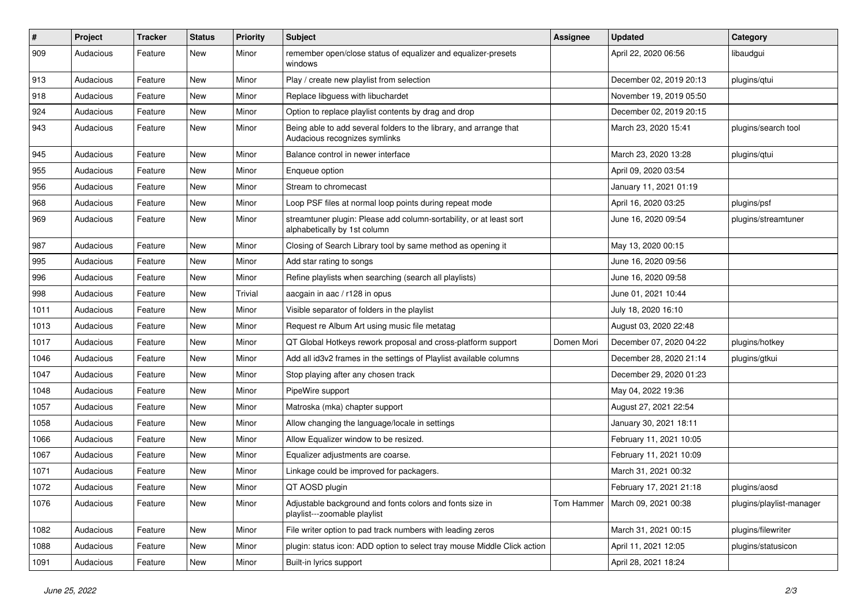| #    | Project   | <b>Tracker</b> | <b>Status</b> | <b>Priority</b> | <b>Subject</b>                                                                                      | <b>Assignee</b> | <b>Updated</b>                    | Category                 |
|------|-----------|----------------|---------------|-----------------|-----------------------------------------------------------------------------------------------------|-----------------|-----------------------------------|--------------------------|
| 909  | Audacious | Feature        | New           | Minor           | remember open/close status of equalizer and equalizer-presets<br>windows                            |                 | April 22, 2020 06:56              | libaudgui                |
| 913  | Audacious | Feature        | New           | Minor           | Play / create new playlist from selection                                                           |                 | December 02, 2019 20:13           | plugins/qtui             |
| 918  | Audacious | Feature        | New           | Minor           | Replace libguess with libuchardet                                                                   |                 | November 19, 2019 05:50           |                          |
| 924  | Audacious | Feature        | New           | Minor           | Option to replace playlist contents by drag and drop                                                |                 | December 02, 2019 20:15           |                          |
| 943  | Audacious | Feature        | New           | Minor           | Being able to add several folders to the library, and arrange that<br>Audacious recognizes symlinks |                 | March 23, 2020 15:41              | plugins/search tool      |
| 945  | Audacious | Feature        | New           | Minor           | Balance control in newer interface                                                                  |                 | March 23, 2020 13:28              | plugins/qtui             |
| 955  | Audacious | Feature        | New           | Minor           | Enqueue option                                                                                      |                 | April 09, 2020 03:54              |                          |
| 956  | Audacious | Feature        | <b>New</b>    | Minor           | Stream to chromecast                                                                                |                 | January 11, 2021 01:19            |                          |
| 968  | Audacious | Feature        | New           | Minor           | Loop PSF files at normal loop points during repeat mode                                             |                 | April 16, 2020 03:25              | plugins/psf              |
| 969  | Audacious | Feature        | New           | Minor           | streamtuner plugin: Please add column-sortability, or at least sort<br>alphabetically by 1st column |                 | June 16, 2020 09:54               | plugins/streamtuner      |
| 987  | Audacious | Feature        | New           | Minor           | Closing of Search Library tool by same method as opening it                                         |                 | May 13, 2020 00:15                |                          |
| 995  | Audacious | Feature        | New           | Minor           | Add star rating to songs                                                                            |                 | June 16, 2020 09:56               |                          |
| 996  | Audacious | Feature        | New           | Minor           | Refine playlists when searching (search all playlists)                                              |                 | June 16, 2020 09:58               |                          |
| 998  | Audacious | Feature        | New           | Trivial         | aacgain in aac / r128 in opus                                                                       |                 | June 01, 2021 10:44               |                          |
| 1011 | Audacious | Feature        | <b>New</b>    | Minor           | Visible separator of folders in the playlist                                                        |                 | July 18, 2020 16:10               |                          |
| 1013 | Audacious | Feature        | New           | Minor           | Request re Album Art using music file metatag                                                       |                 | August 03, 2020 22:48             |                          |
| 1017 | Audacious | Feature        | New           | Minor           | QT Global Hotkeys rework proposal and cross-platform support                                        | Domen Mori      | December 07, 2020 04:22           | plugins/hotkey           |
| 1046 | Audacious | Feature        | New           | Minor           | Add all id3v2 frames in the settings of Playlist available columns                                  |                 | December 28, 2020 21:14           | plugins/gtkui            |
| 1047 | Audacious | Feature        | New           | Minor           | Stop playing after any chosen track                                                                 |                 | December 29, 2020 01:23           |                          |
| 1048 | Audacious | Feature        | New           | Minor           | PipeWire support                                                                                    |                 | May 04, 2022 19:36                |                          |
| 1057 | Audacious | Feature        | New           | Minor           | Matroska (mka) chapter support                                                                      |                 | August 27, 2021 22:54             |                          |
| 1058 | Audacious | Feature        | New           | Minor           | Allow changing the language/locale in settings                                                      |                 | January 30, 2021 18:11            |                          |
| 1066 | Audacious | Feature        | New           | Minor           | Allow Equalizer window to be resized.                                                               |                 | February 11, 2021 10:05           |                          |
| 1067 | Audacious | Feature        | New           | Minor           | Equalizer adjustments are coarse.                                                                   |                 | February 11, 2021 10:09           |                          |
| 1071 | Audacious | Feature        | New           | Minor           | Linkage could be improved for packagers.                                                            |                 | March 31, 2021 00:32              |                          |
| 1072 | Audacious | Feature        | New           | Minor           | QT AOSD plugin                                                                                      |                 | February 17, 2021 21:18           | plugins/aosd             |
| 1076 | Audacious | Feature        | New           | Minor           | Adjustable background and fonts colors and fonts size in<br>playlist---zoomable playlist            |                 | Tom Hammer   March 09, 2021 00:38 | plugins/playlist-manager |
| 1082 | Audacious | Feature        | New           | Minor           | File writer option to pad track numbers with leading zeros                                          |                 | March 31, 2021 00:15              | plugins/filewriter       |
| 1088 | Audacious | Feature        | New           | Minor           | plugin: status icon: ADD option to select tray mouse Middle Click action                            |                 | April 11, 2021 12:05              | plugins/statusicon       |
| 1091 | Audacious | Feature        | New           | Minor           | Built-in lyrics support                                                                             |                 | April 28, 2021 18:24              |                          |